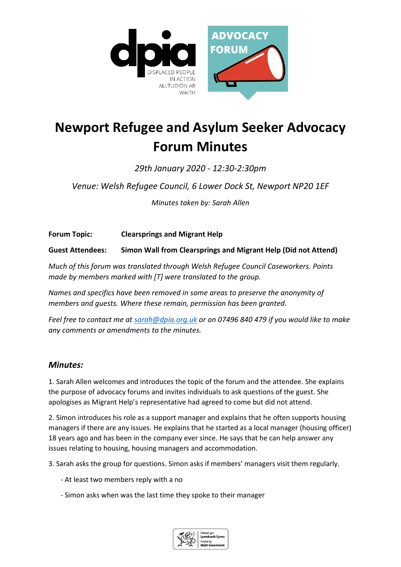

## **Newport Refugee and Asylum Seeker Advocacy Forum Minutes**

*29th January 2020 - 12:30-2:30pm* 

*Venue: Welsh Refugee Council, 6 Lower Dock St, Newport NP20 1EF*

*Minutes taken by: Sarah Allen*

**Forum Topic: Clearsprings and Migrant Help**

**Guest Attendees: Simon Wall from Clearsprings and Migrant Help (Did not Attend)**

*Much of this forum was translated through Welsh Refugee Council Caseworkers. Points made by members marked with [T] were translated to the group.*

*Names and specifics have been removed in some areas to preserve the anonymity of members and guests. Where these remain, permission has been granted.*

*Feel free to contact me at [sarah@dpia.org.uk](mailto:sarah@dpia.org.uk) or on 07496 840 479 if you would like to make any comments or amendments to the minutes.* 

## *Minutes:*

1. Sarah Allen welcomes and introduces the topic of the forum and the attendee. She explains the purpose of advocacy forums and invites individuals to ask questions of the guest. She apologises as Migrant Help's representative had agreed to come but did not attend.

2. Simon introduces his role as a support manager and explains that he often supports housing managers if there are any issues. He explains that he started as a local manager (housing officer) 18 years ago and has been in the company ever since. He says that he can help answer any issues relating to housing, housing managers and accommodation.

3. Sarah asks the group for questions. Simon asks if members' managers visit them regularly.

- At least two members reply with a no
- Simon asks when was the last time they spoke to their manager

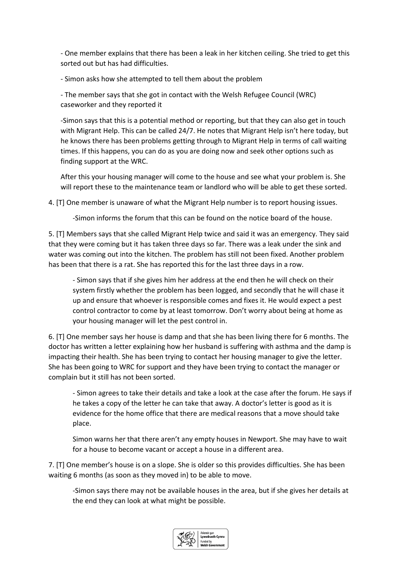- One member explains that there has been a leak in her kitchen ceiling. She tried to get this sorted out but has had difficulties.

- Simon asks how she attempted to tell them about the problem

- The member says that she got in contact with the Welsh Refugee Council (WRC) caseworker and they reported it

-Simon says that this is a potential method or reporting, but that they can also get in touch with Migrant Help. This can be called 24/7. He notes that Migrant Help isn't here today, but he knows there has been problems getting through to Migrant Help in terms of call waiting times. If this happens, you can do as you are doing now and seek other options such as finding support at the WRC.

After this your housing manager will come to the house and see what your problem is. She will report these to the maintenance team or landlord who will be able to get these sorted.

4. [T] One member is unaware of what the Migrant Help number is to report housing issues.

-Simon informs the forum that this can be found on the notice board of the house.

5. [T] Members says that she called Migrant Help twice and said it was an emergency. They said that they were coming but it has taken three days so far. There was a leak under the sink and water was coming out into the kitchen. The problem has still not been fixed. Another problem has been that there is a rat. She has reported this for the last three days in a row.

- Simon says that if she gives him her address at the end then he will check on their system firstly whether the problem has been logged, and secondly that he will chase it up and ensure that whoever is responsible comes and fixes it. He would expect a pest control contractor to come by at least tomorrow. Don't worry about being at home as your housing manager will let the pest control in.

6. [T] One member says her house is damp and that she has been living there for 6 months. The doctor has written a letter explaining how her husband is suffering with asthma and the damp is impacting their health. She has been trying to contact her housing manager to give the letter. She has been going to WRC for support and they have been trying to contact the manager or complain but it still has not been sorted.

- Simon agrees to take their details and take a look at the case after the forum. He says if he takes a copy of the letter he can take that away. A doctor's letter is good as it is evidence for the home office that there are medical reasons that a move should take place.

Simon warns her that there aren't any empty houses in Newport. She may have to wait for a house to become vacant or accept a house in a different area.

7. [T] One member's house is on a slope. She is older so this provides difficulties. She has been waiting 6 months (as soon as they moved in) to be able to move.

-Simon says there may not be available houses in the area, but if she gives her details at the end they can look at what might be possible.

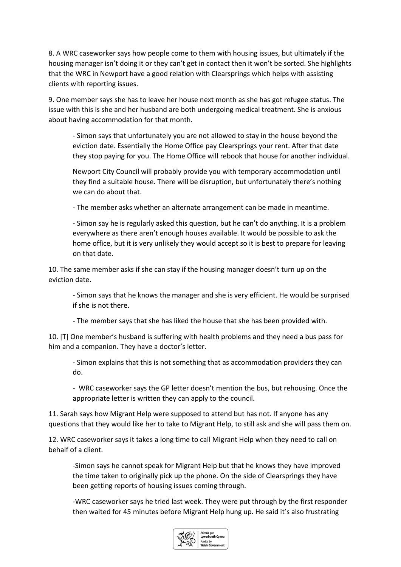8. A WRC caseworker says how people come to them with housing issues, but ultimately if the housing manager isn't doing it or they can't get in contact then it won't be sorted. She highlights that the WRC in Newport have a good relation with Clearsprings which helps with assisting clients with reporting issues.

9. One member says she has to leave her house next month as she has got refugee status. The issue with this is she and her husband are both undergoing medical treatment. She is anxious about having accommodation for that month.

- Simon says that unfortunately you are not allowed to stay in the house beyond the eviction date. Essentially the Home Office pay Clearsprings your rent. After that date they stop paying for you. The Home Office will rebook that house for another individual.

Newport City Council will probably provide you with temporary accommodation until they find a suitable house. There will be disruption, but unfortunately there's nothing we can do about that.

- The member asks whether an alternate arrangement can be made in meantime.

- Simon say he is regularly asked this question, but he can't do anything. It is a problem everywhere as there aren't enough houses available. It would be possible to ask the home office, but it is very unlikely they would accept so it is best to prepare for leaving on that date.

10. The same member asks if she can stay if the housing manager doesn't turn up on the eviction date.

- Simon says that he knows the manager and she is very efficient. He would be surprised if she is not there.

- The member says that she has liked the house that she has been provided with.

10. [T] One member's husband is suffering with health problems and they need a bus pass for him and a companion. They have a doctor's letter.

- Simon explains that this is not something that as accommodation providers they can do.

- WRC caseworker says the GP letter doesn't mention the bus, but rehousing. Once the appropriate letter is written they can apply to the council.

11. Sarah says how Migrant Help were supposed to attend but has not. If anyone has any questions that they would like her to take to Migrant Help, to still ask and she will pass them on.

12. WRC caseworker says it takes a long time to call Migrant Help when they need to call on behalf of a client.

-Simon says he cannot speak for Migrant Help but that he knows they have improved the time taken to originally pick up the phone. On the side of Clearsprings they have been getting reports of housing issues coming through.

-WRC caseworker says he tried last week. They were put through by the first responder then waited for 45 minutes before Migrant Help hung up. He said it's also frustrating